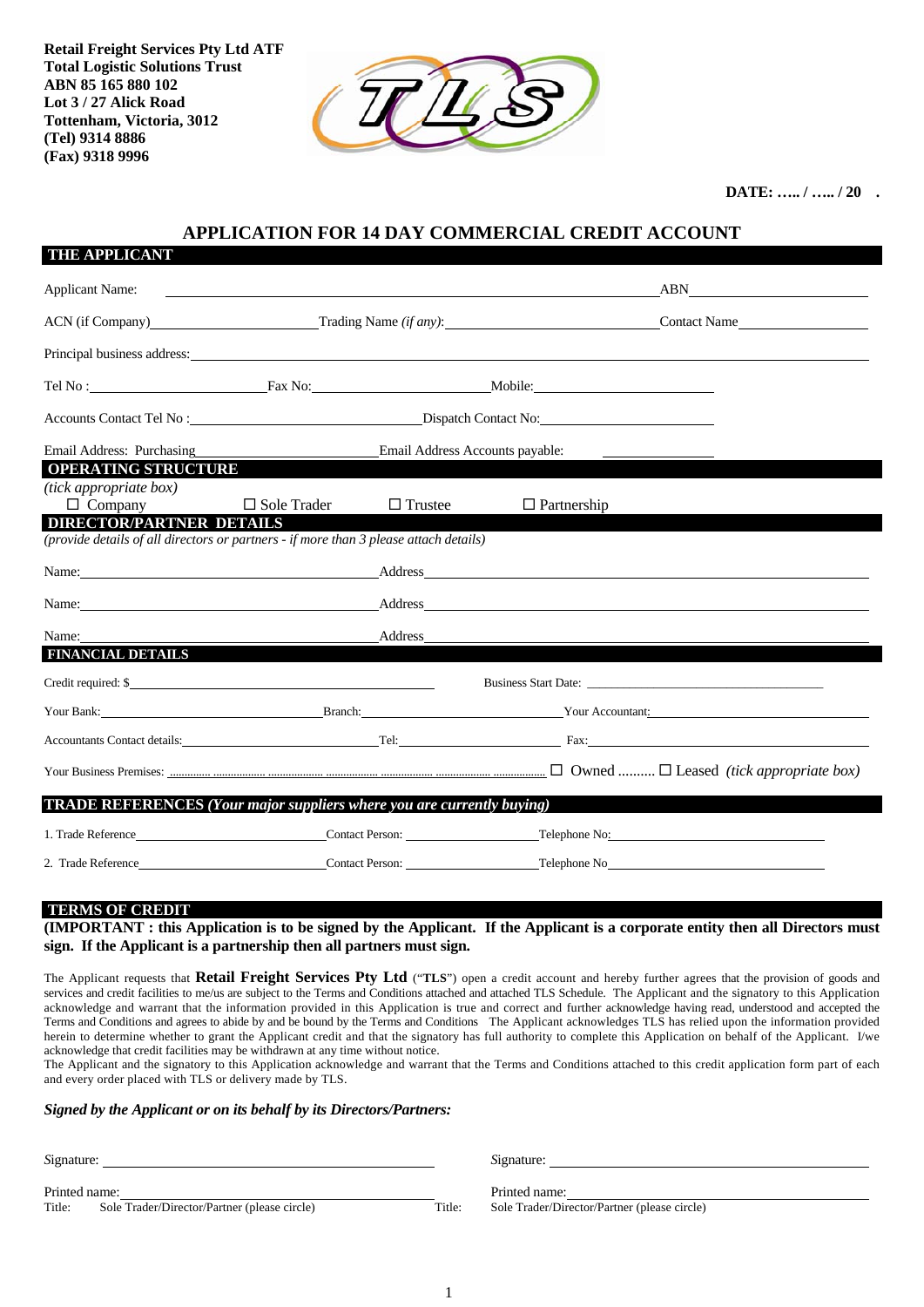**Retail Freight Services Pty Ltd ATF Total Logistic Solutions Trust ABN 85 165 880 102 Lot 3 / 27 Alick Road Tottenham, Victoria, 3012 (Tel) 9314 8886 (Fax) 9318 9996** 

**THE APPLICANT** 



**DATE: ….. / ….. / 20 .** 

## **APPLICATION FOR 14 DAY COMMERCIAL CREDIT ACCOUNT**

| <u>III ALLUIVAI I</u>                                                                                                                                                                                                                |                                                      |                |                                                                                  |                                                                                                                                                                                                                                |  |
|--------------------------------------------------------------------------------------------------------------------------------------------------------------------------------------------------------------------------------------|------------------------------------------------------|----------------|----------------------------------------------------------------------------------|--------------------------------------------------------------------------------------------------------------------------------------------------------------------------------------------------------------------------------|--|
| <b>Applicant Name:</b>                                                                                                                                                                                                               |                                                      |                | ,我们也不会有什么。""我们的人,我们也不会有什么?""我们的人,我们也不会有什么?""我们的人,我们也不会有什么?""我们的人,我们也不会有什么?""我们的人 | ABN                                                                                                                                                                                                                            |  |
|                                                                                                                                                                                                                                      | ACN (if Company) Trading Name (if any): Contact Name |                |                                                                                  |                                                                                                                                                                                                                                |  |
| Principal business address: example and the state of the state of the state of the state of the state of the state of the state of the state of the state of the state of the state of the state of the state of the state of        |                                                      |                |                                                                                  |                                                                                                                                                                                                                                |  |
|                                                                                                                                                                                                                                      |                                                      |                |                                                                                  |                                                                                                                                                                                                                                |  |
|                                                                                                                                                                                                                                      | Accounts Contact Tel No: Dispatch Contact No:        |                |                                                                                  |                                                                                                                                                                                                                                |  |
| Email Address: Purchasing                                                                                                                                                                                                            | Email Address Accounts payable:                      |                |                                                                                  |                                                                                                                                                                                                                                |  |
| <b>OPERATING STRUCTURE</b><br>(tick appropriate box)                                                                                                                                                                                 |                                                      |                |                                                                                  |                                                                                                                                                                                                                                |  |
| $\Box$ Company                                                                                                                                                                                                                       | $\Box$ Sole Trader                                   | $\Box$ Trustee | $\Box$ Partnership                                                               |                                                                                                                                                                                                                                |  |
| <b>DIRECTOR/PARTNER DETAILS</b><br>(provide details of all directors or partners - if more than 3 please attach details)                                                                                                             |                                                      |                |                                                                                  |                                                                                                                                                                                                                                |  |
| Name: <u>Address Address Address Address Address Address Address Address and the set of the set of the set of the set of the set of the set of the set of the set of the set of the set of the set of the set of the set of the </u> |                                                      |                |                                                                                  |                                                                                                                                                                                                                                |  |
|                                                                                                                                                                                                                                      |                                                      |                |                                                                                  | Name: Address Address Address Address Address Address Address Address Address Address Address Address Address Address Address Address Address Address Address Address Address Address Address Address Address Address Address  |  |
| Name:                                                                                                                                                                                                                                | Address                                              |                |                                                                                  |                                                                                                                                                                                                                                |  |
| <b>FINANCIAL DETAILS</b>                                                                                                                                                                                                             |                                                      |                |                                                                                  |                                                                                                                                                                                                                                |  |
| Credit required: \$                                                                                                                                                                                                                  |                                                      |                |                                                                                  |                                                                                                                                                                                                                                |  |
|                                                                                                                                                                                                                                      |                                                      |                |                                                                                  | Your Bank: Now Your Accountant: New Your Accountant: New Your Accountant:                                                                                                                                                      |  |
|                                                                                                                                                                                                                                      |                                                      |                |                                                                                  |                                                                                                                                                                                                                                |  |
|                                                                                                                                                                                                                                      |                                                      |                |                                                                                  | Your Business Premises: $\frac{1}{\text{1}}$ Cwing and the University of The Business: $\frac{1}{\text{2}}$ Cwing $\frac{1}{\text{2}}$ Owned $\frac{1}{\text{2}}$ Deased <i>(tick appropriate box)</i>                         |  |
| <b>TRADE REFERENCES</b> (Your major suppliers where you are currently buying)                                                                                                                                                        |                                                      |                |                                                                                  |                                                                                                                                                                                                                                |  |
|                                                                                                                                                                                                                                      |                                                      |                |                                                                                  |                                                                                                                                                                                                                                |  |
|                                                                                                                                                                                                                                      |                                                      |                |                                                                                  | 2. Trade Reference Contact Person: Contact Person: Telephone No Telephone No Telephone No Telephone No Telephone No Telephone No Telephone No Telephone No Telephone No Telephone No Telephone No Telephone No Telephone No Te |  |

### **TERMS OF CREDIT**

**(IMPORTANT : this Application is to be signed by the Applicant. If the Applicant is a corporate entity then all Directors must sign. If the Applicant is a partnership then all partners must sign.** 

The Applicant requests that **Retail Freight Services Pty Ltd** ("**TLS**") open a credit account and hereby further agrees that the provision of goods and services and credit facilities to me/us are subject to the Terms and Conditions attached and attached TLS Schedule. The Applicant and the signatory to this Application acknowledge and warrant that the information provided in this Application is true and correct and further acknowledge having read, understood and accepted the Terms and Conditions and agrees to abide by and be bound by the Terms and Conditions The Applicant acknowledges TLS has relied upon the information provided herein to determine whether to grant the Applicant credit and that the signatory has full authority to complete this Application on behalf of the Applicant. I/we acknowledge that credit facilities may be withdrawn at any time without notice.

The Applicant and the signatory to this Application acknowledge and warrant that the Terms and Conditions attached to this credit application form part of each and every order placed with TLS or delivery made by TLS.

### *Signed by the Applicant or on its behalf by its Directors/Partners:*

| Signature:    |                                              |  |
|---------------|----------------------------------------------|--|
| Printed name: |                                              |  |
| Title:        | Sole Trader/Director/Partner (please circle) |  |

*S*ignature: *S*ignature:

Printed name: Title: Sole Trader/Director/Partner (please circle)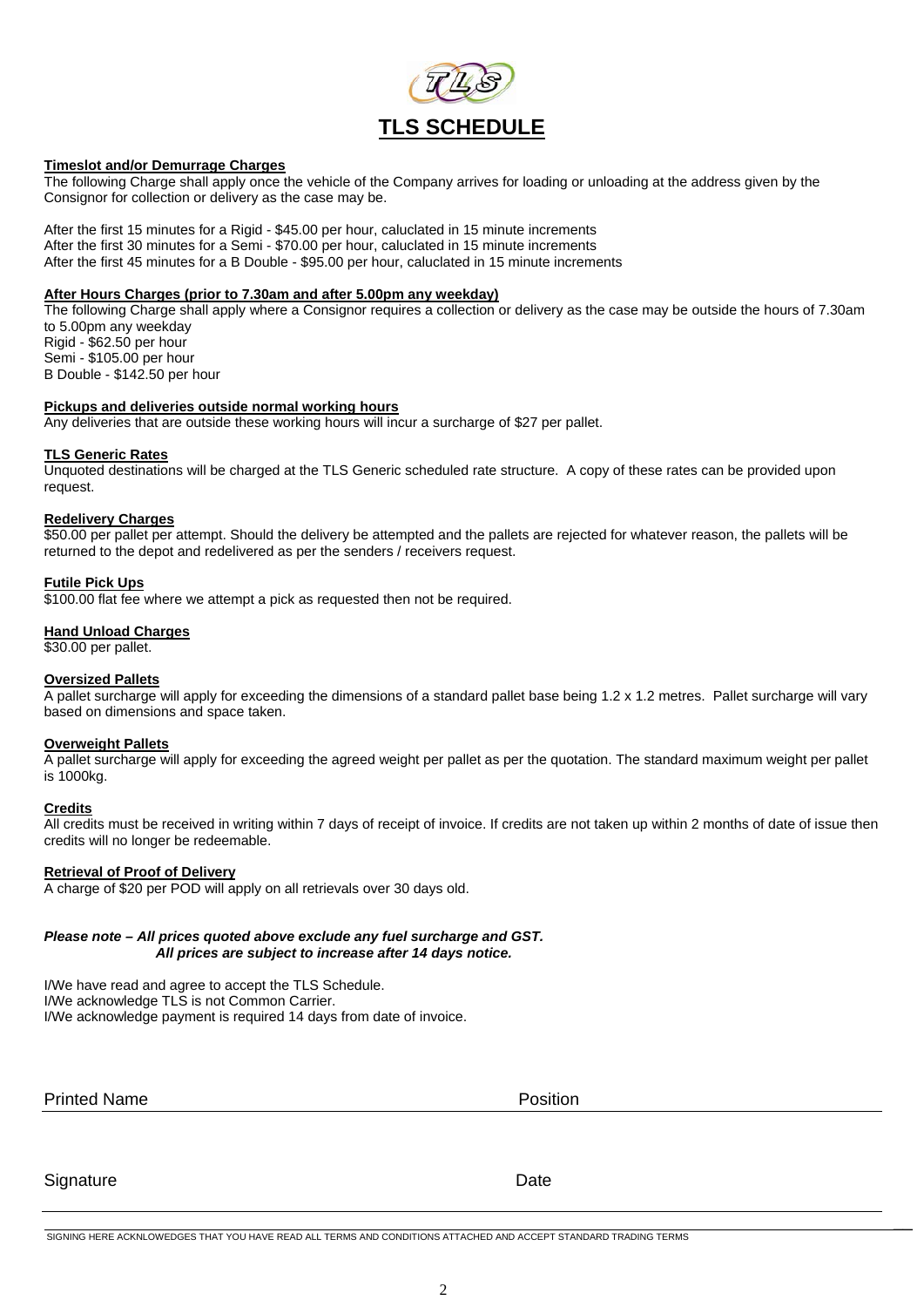

### **Timeslot and/or Demurrage Charges**

The following Charge shall apply once the vehicle of the Company arrives for loading or unloading at the address given by the Consignor for collection or delivery as the case may be.

After the first 15 minutes for a Rigid - \$45.00 per hour, caluclated in 15 minute increments After the first 30 minutes for a Semi - \$70.00 per hour, caluclated in 15 minute increments After the first 45 minutes for a B Double - \$95.00 per hour, caluclated in 15 minute increments

### **After Hours Charges (prior to 7.30am and after 5.00pm any weekday)**

The following Charge shall apply where a Consignor requires a collection or delivery as the case may be outside the hours of 7.30am to 5.00pm any weekday Rigid - \$62.50 per hour Semi - \$105.00 per hour

B Double - \$142.50 per hour

### **Pickups and deliveries outside normal working hours**

Any deliveries that are outside these working hours will incur a surcharge of \$27 per pallet.

### **TLS Generic Rates**

Unquoted destinations will be charged at the TLS Generic scheduled rate structure. A copy of these rates can be provided upon request.

### **Redelivery Charges**

\$50.00 per pallet per attempt. Should the delivery be attempted and the pallets are rejected for whatever reason, the pallets will be returned to the depot and redelivered as per the senders / receivers request.

### **Futile Pick Ups**

\$100.00 flat fee where we attempt a pick as requested then not be required.

### **Hand Unload Charges**

\$30.00 per pallet.

### **Oversized Pallets**

A pallet surcharge will apply for exceeding the dimensions of a standard pallet base being 1.2 x 1.2 metres. Pallet surcharge will vary based on dimensions and space taken.

### **Overweight Pallets**

A pallet surcharge will apply for exceeding the agreed weight per pallet as per the quotation. The standard maximum weight per pallet is 1000kg.

### **Credits**

All credits must be received in writing within 7 days of receipt of invoice. If credits are not taken up within 2 months of date of issue then credits will no longer be redeemable.

### **Retrieval of Proof of Delivery**

A charge of \$20 per POD will apply on all retrievals over 30 days old.

### *Please note – All prices quoted above exclude any fuel surcharge and GST. All prices are subject to increase after 14 days notice.*

I/We have read and agree to accept the TLS Schedule. I/We acknowledge TLS is not Common Carrier. I/We acknowledge payment is required 14 days from date of invoice.

Printed Name **Printed Name Printed Name** 

Signature Date **Date** 

\_\_ SIGNING HERE ACKNLOWEDGES THAT YOU HAVE READ ALL TERMS AND CONDITIONS ATTACHED AND ACCEPT STANDARD TRADING TERMS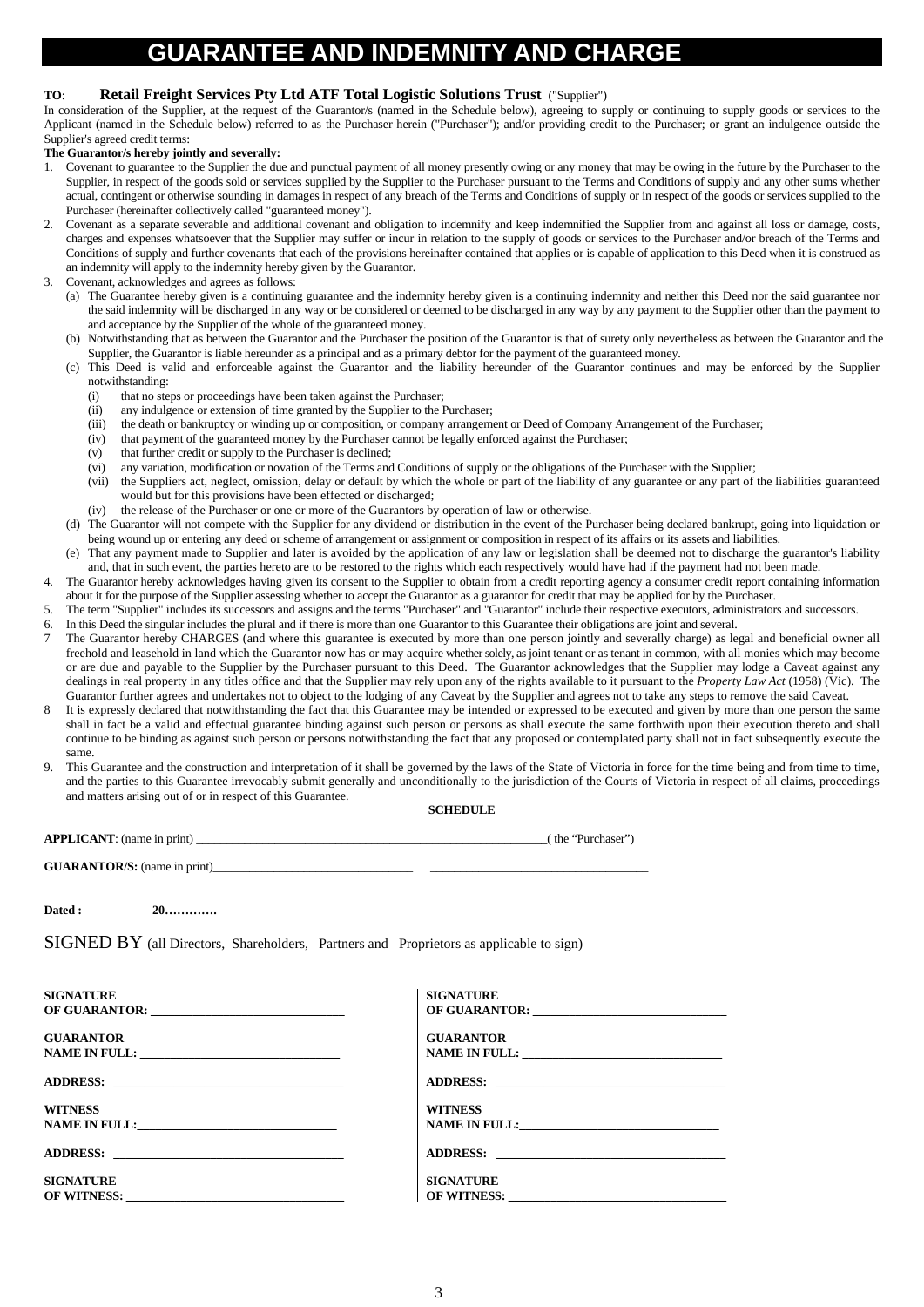# **ND INDEMNIT**

### **TO**: **Retail Freight Services Pty Ltd ATF Total Logistic Solutions Trust** ("Supplier")

In consideration of the Supplier, at the request of the Guarantor/s (named in the Schedule below), agreeing to supply or continuing to supply goods or services to the Applicant (named in the Schedule below) referred to as the Purchaser herein ("Purchaser"); and/or providing credit to the Purchaser; or grant an indulgence outside the Supplier's agreed credit terms:

#### **The Guarantor/s hereby jointly and severally:**

- 1. Covenant to guarantee to the Supplier the due and punctual payment of all money presently owing or any money that may be owing in the future by the Purchaser to the Supplier, in respect of the goods sold or services supplied by the Supplier to the Purchaser pursuant to the Terms and Conditions of supply and any other sums whether actual, contingent or otherwise sounding in damages in respect of any breach of the Terms and Conditions of supply or in respect of the goods or services supplied to the Purchaser (hereinafter collectively called "guaranteed money").
- 2. Covenant as a separate severable and additional covenant and obligation to indemnify and keep indemnified the Supplier from and against all loss or damage, costs, charges and expenses whatsoever that the Supplier may suffer or incur in relation to the supply of goods or services to the Purchaser and/or breach of the Terms and Conditions of supply and further covenants that each of the provisions hereinafter contained that applies or is capable of application to this Deed when it is construed as an indemnity will apply to the indemnity hereby given by the Guarantor.
- 3. Covenant, acknowledges and agrees as follows:
	- (a) The Guarantee hereby given is a continuing guarantee and the indemnity hereby given is a continuing indemnity and neither this Deed nor the said guarantee nor the said indemnity will be discharged in any way or be considered or deemed to be discharged in any way by any payment to the Supplier other than the payment to and acceptance by the Supplier of the whole of the guaranteed money.
	- Notwithstanding that as between the Guarantor and the Purchaser the position of the Guarantor is that of surety only nevertheless as between the Guarantor and the Supplier, the Guarantor is liable hereunder as a principal and as a primary debtor for the payment of the guaranteed money.
	- (c) This Deed is valid and enforceable against the Guarantor and the liability hereunder of the Guarantor continues and may be enforced by the Supplier notwithstanding:
		- (i) that no steps or proceedings have been taken against the Purchaser;
		- (ii) any indulgence or extension of time granted by the Supplier to the Purchaser;
		- (iii) the death or bankruptcy or winding up or composition, or company arrangement or Deed of Company Arrangement of the Purchaser;
		- (iv) that payment of the guaranteed money by the Purchaser cannot be legally enforced against the Purchaser;
		- (v) that further credit or supply to the Purchaser is declined;
		- (vi) any variation, modification or novation of the Terms and Conditions of supply or the obligations of the Purchaser with the Supplier;
		- (vii) the Suppliers act, neglect, omission, delay or default by which the whole or part of the liability of any guarantee or any part of the liabilities guaranteed would but for this provisions have been effected or discharged;
		- (iv) the release of the Purchaser or one or more of the Guarantors by operation of law or otherwise.
	- (d) The Guarantor will not compete with the Supplier for any dividend or distribution in the event of the Purchaser being declared bankrupt, going into liquidation or being wound up or entering any deed or scheme of arrangement or assignment or composition in respect of its affairs or its assets and liabilities.
	- (e) That any payment made to Supplier and later is avoided by the application of any law or legislation shall be deemed not to discharge the guarantor's liability and, that in such event, the parties hereto are to be restored to the rights which each respectively would have had if the payment had not been made.
- 4. The Guarantor hereby acknowledges having given its consent to the Supplier to obtain from a credit reporting agency a consumer credit report containing information about it for the purpose of the Supplier assessing whether to accept the Guarantor as a guarantor for credit that may be applied for by the Purchaser.
- 5. The term "Supplier" includes its successors and assigns and the terms "Purchaser" and "Guarantor" include their respective executors, administrators and successors.
- 6. In this Deed the singular includes the plural and if there is more than one Guarantor to this Guarantee their obligations are joint and several.
- 7 The Guarantor hereby CHARGES (and where this guarantee is executed by more than one person jointly and severally charge) as legal and beneficial owner all freehold and leasehold in land which the Guarantor now has or may acquire whether solely, as joint tenant or as tenant in common, with all monies which may become or are due and payable to the Supplier by the Purchaser pursuant to this Deed. The Guarantor acknowledges that the Supplier may lodge a Caveat against any dealings in real property in any titles office and that the Supplier may rely upon any of the rights available to it pursuant to the *Property Law Act* (1958) (Vic). The Guarantor further agrees and undertakes not to object to the lodging of any Caveat by the Supplier and agrees not to take any steps to remove the said Caveat.
- It is expressly declared that notwithstanding the fact that this Guarantee may be intended or expressed to be executed and given by more than one person the same shall in fact be a valid and effectual guarantee binding against such person or persons as shall execute the same forthwith upon their execution thereto and shall continue to be binding as against such person or persons notwithstanding the fact that any proposed or contemplated party shall not in fact subsequently execute the same.
- 9. This Guarantee and the construction and interpretation of it shall be governed by the laws of the State of Victoria in force for the time being and from time to time, and the parties to this Guarantee irrevocably submit generally and unconditionally to the jurisdiction of the Courts of Victoria in respect of all claims, proceedings and matters arising out of or in respect of this Guarantee.

#### **SCHEDULE**

| Dated : 20                                                                                                                                                                                                                                        |                                 |
|---------------------------------------------------------------------------------------------------------------------------------------------------------------------------------------------------------------------------------------------------|---------------------------------|
| SIGNED BY (all Directors, Shareholders, Partners and Proprietors as applicable to sign)                                                                                                                                                           |                                 |
| <b>SIGNATURE</b>                                                                                                                                                                                                                                  | <b>SIGNATURE</b>                |
| <b>GUARANTOR</b>                                                                                                                                                                                                                                  | <b>GUARANTOR</b>                |
|                                                                                                                                                                                                                                                   |                                 |
| <b>WITNESS</b><br>NAME IN FULL:                                                                                                                                                                                                                   | <b>WITNESS</b>                  |
|                                                                                                                                                                                                                                                   |                                 |
| <b>SIGNATURE</b><br>OF WITNESS: New York Contract the Contract of the Contract of the Contract of the Contract of the Contract of the Contract of the Contract of the Contract of the Contract of the Contract of the Contract of the Contract of | <b>SIGNATURE</b><br>OF WITNESS: |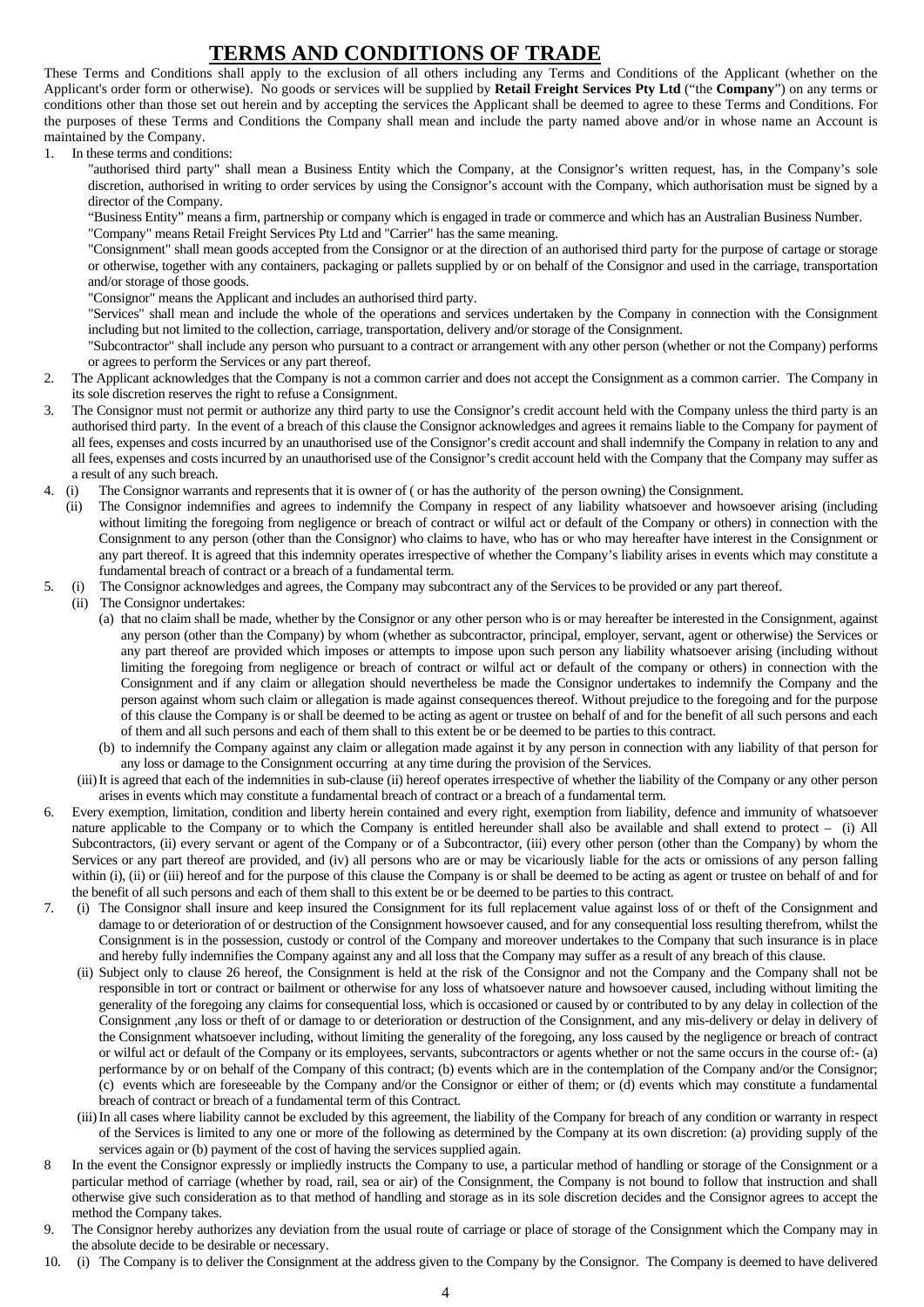## **TERMS AND CONDITIONS OF TRADE**

These Terms and Conditions shall apply to the exclusion of all others including any Terms and Conditions of the Applicant (whether on the Applicant's order form or otherwise). No goods or services will be supplied by **Retail Freight Services Pty Ltd** ("the **Company**") on any terms or conditions other than those set out herein and by accepting the services the Applicant shall be deemed to agree to these Terms and Conditions. For the purposes of these Terms and Conditions the Company shall mean and include the party named above and/or in whose name an Account is maintained by the Company.

1. In these terms and conditions:

"authorised third party" shall mean a Business Entity which the Company, at the Consignor's written request, has, in the Company's sole discretion, authorised in writing to order services by using the Consignor's account with the Company, which authorisation must be signed by a director of the Company.

"Business Entity" means a firm, partnership or company which is engaged in trade or commerce and which has an Australian Business Number.

"Company" means Retail Freight Services Pty Ltd and "Carrier" has the same meaning.

"Consignment" shall mean goods accepted from the Consignor or at the direction of an authorised third party for the purpose of cartage or storage or otherwise, together with any containers, packaging or pallets supplied by or on behalf of the Consignor and used in the carriage, transportation and/or storage of those goods.

"Consignor" means the Applicant and includes an authorised third party.

"Services" shall mean and include the whole of the operations and services undertaken by the Company in connection with the Consignment including but not limited to the collection, carriage, transportation, delivery and/or storage of the Consignment.

"Subcontractor" shall include any person who pursuant to a contract or arrangement with any other person (whether or not the Company) performs or agrees to perform the Services or any part thereof.

- 2. The Applicant acknowledges that the Company is not a common carrier and does not accept the Consignment as a common carrier. The Company in its sole discretion reserves the right to refuse a Consignment.
- 3. The Consignor must not permit or authorize any third party to use the Consignor's credit account held with the Company unless the third party is an authorised third party. In the event of a breach of this clause the Consignor acknowledges and agrees it remains liable to the Company for payment of all fees, expenses and costs incurred by an unauthorised use of the Consignor's credit account and shall indemnify the Company in relation to any and all fees, expenses and costs incurred by an unauthorised use of the Consignor's credit account held with the Company that the Company may suffer as a result of any such breach.
- 4. (i) The Consignor warrants and represents that it is owner of ( or has the authority of the person owning) the Consignment.
- (ii) The Consignor indemnifies and agrees to indemnify the Company in respect of any liability whatsoever and howsoever arising (including without limiting the foregoing from negligence or breach of contract or wilful act or default of the Company or others) in connection with the Consignment to any person (other than the Consignor) who claims to have, who has or who may hereafter have interest in the Consignment or any part thereof. It is agreed that this indemnity operates irrespective of whether the Company's liability arises in events which may constitute a fundamental breach of contract or a breach of a fundamental term.
- 5. (i) The Consignor acknowledges and agrees, the Company may subcontract any of the Services to be provided or any part thereof.

(ii) The Consignor undertakes:

- (a) that no claim shall be made, whether by the Consignor or any other person who is or may hereafter be interested in the Consignment, against any person (other than the Company) by whom (whether as subcontractor, principal, employer, servant, agent or otherwise) the Services or any part thereof are provided which imposes or attempts to impose upon such person any liability whatsoever arising (including without limiting the foregoing from negligence or breach of contract or wilful act or default of the company or others) in connection with the Consignment and if any claim or allegation should nevertheless be made the Consignor undertakes to indemnify the Company and the person against whom such claim or allegation is made against consequences thereof. Without prejudice to the foregoing and for the purpose of this clause the Company is or shall be deemed to be acting as agent or trustee on behalf of and for the benefit of all such persons and each of them and all such persons and each of them shall to this extent be or be deemed to be parties to this contract.
- (b) to indemnify the Company against any claim or allegation made against it by any person in connection with any liability of that person for any loss or damage to the Consignment occurring at any time during the provision of the Services.
- (iii) It is agreed that each of the indemnities in sub-clause (ii) hereof operates irrespective of whether the liability of the Company or any other person arises in events which may constitute a fundamental breach of contract or a breach of a fundamental term.
- 6. Every exemption, limitation, condition and liberty herein contained and every right, exemption from liability, defence and immunity of whatsoever nature applicable to the Company or to which the Company is entitled hereunder shall also be available and shall extend to protect – (i) All Subcontractors, (ii) every servant or agent of the Company or of a Subcontractor, (iii) every other person (other than the Company) by whom the Services or any part thereof are provided, and (iv) all persons who are or may be vicariously liable for the acts or omissions of any person falling within (i), (ii) or (iii) hereof and for the purpose of this clause the Company is or shall be deemed to be acting as agent or trustee on behalf of and for the benefit of all such persons and each of them shall to this extent be or be deemed to be parties to this contract.
- 7. (i) The Consignor shall insure and keep insured the Consignment for its full replacement value against loss of or theft of the Consignment and damage to or deterioration of or destruction of the Consignment howsoever caused, and for any consequential loss resulting therefrom, whilst the Consignment is in the possession, custody or control of the Company and moreover undertakes to the Company that such insurance is in place and hereby fully indemnifies the Company against any and all loss that the Company may suffer as a result of any breach of this clause.
	- (ii) Subject only to clause 26 hereof, the Consignment is held at the risk of the Consignor and not the Company and the Company shall not be responsible in tort or contract or bailment or otherwise for any loss of whatsoever nature and howsoever caused, including without limiting the generality of the foregoing any claims for consequential loss, which is occasioned or caused by or contributed to by any delay in collection of the Consignment ,any loss or theft of or damage to or deterioration or destruction of the Consignment, and any mis-delivery or delay in delivery of the Consignment whatsoever including, without limiting the generality of the foregoing, any loss caused by the negligence or breach of contract or wilful act or default of the Company or its employees, servants, subcontractors or agents whether or not the same occurs in the course of:- (a) performance by or on behalf of the Company of this contract; (b) events which are in the contemplation of the Company and/or the Consignor; (c) events which are foreseeable by the Company and/or the Consignor or either of them; or (d) events which may constitute a fundamental breach of contract or breach of a fundamental term of this Contract.
	- (iii) In all cases where liability cannot be excluded by this agreement, the liability of the Company for breach of any condition or warranty in respect of the Services is limited to any one or more of the following as determined by the Company at its own discretion: (a) providing supply of the services again or (b) payment of the cost of having the services supplied again.
- 8 In the event the Consignor expressly or impliedly instructs the Company to use, a particular method of handling or storage of the Consignment or a particular method of carriage (whether by road, rail, sea or air) of the Consignment, the Company is not bound to follow that instruction and shall otherwise give such consideration as to that method of handling and storage as in its sole discretion decides and the Consignor agrees to accept the method the Company takes.
- 9. The Consignor hereby authorizes any deviation from the usual route of carriage or place of storage of the Consignment which the Company may in the absolute decide to be desirable or necessary.
- 10. (i) The Company is to deliver the Consignment at the address given to the Company by the Consignor. The Company is deemed to have delivered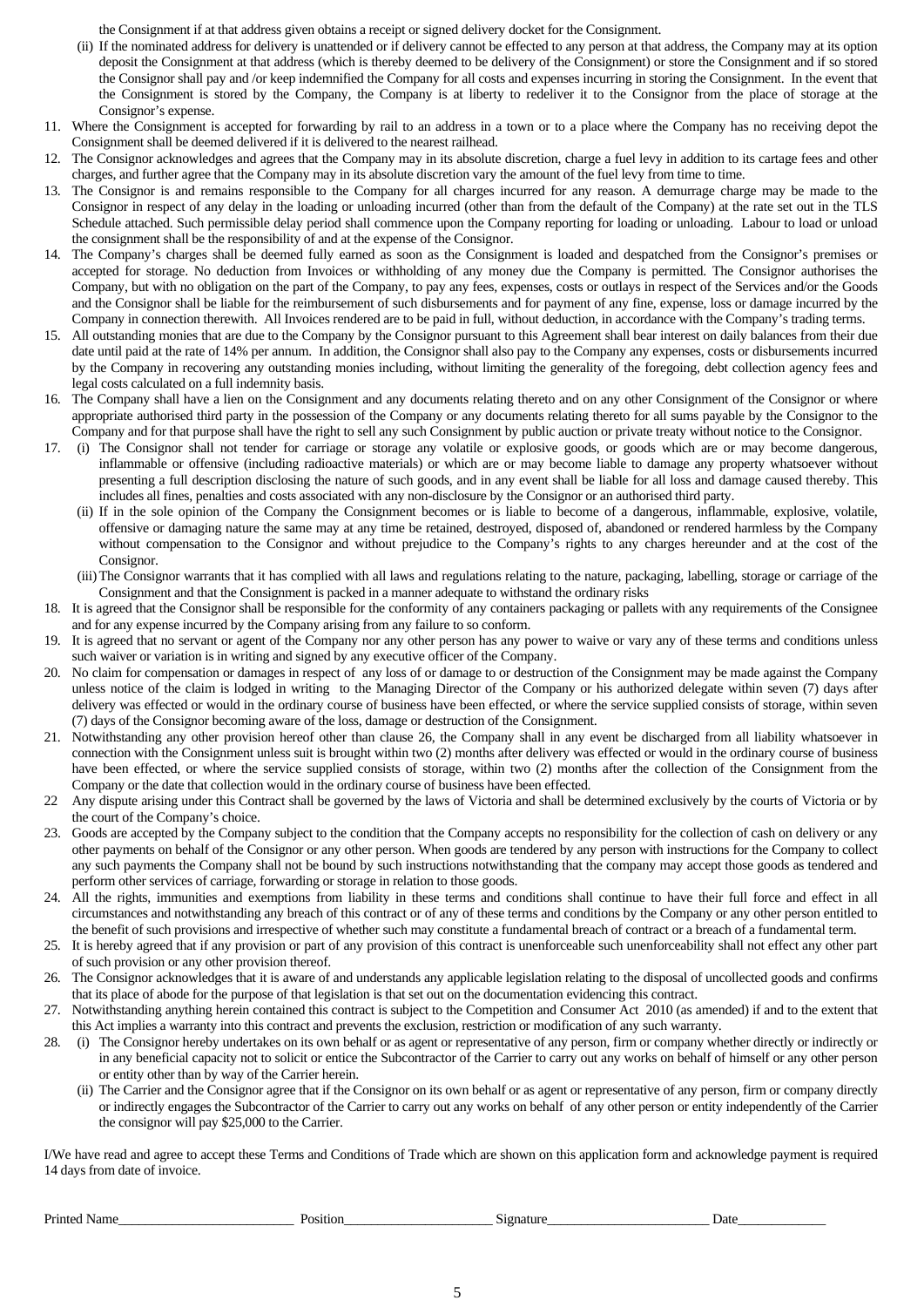the Consignment if at that address given obtains a receipt or signed delivery docket for the Consignment.

- (ii) If the nominated address for delivery is unattended or if delivery cannot be effected to any person at that address, the Company may at its option deposit the Consignment at that address (which is thereby deemed to be delivery of the Consignment) or store the Consignment and if so stored the Consignor shall pay and /or keep indemnified the Company for all costs and expenses incurring in storing the Consignment. In the event that the Consignment is stored by the Company, the Company is at liberty to redeliver it to the Consignor from the place of storage at the Consignor's expense.
- 11. Where the Consignment is accepted for forwarding by rail to an address in a town or to a place where the Company has no receiving depot the Consignment shall be deemed delivered if it is delivered to the nearest railhead.
- 12. The Consignor acknowledges and agrees that the Company may in its absolute discretion, charge a fuel levy in addition to its cartage fees and other charges, and further agree that the Company may in its absolute discretion vary the amount of the fuel levy from time to time.
- 13. The Consignor is and remains responsible to the Company for all charges incurred for any reason. A demurrage charge may be made to the Consignor in respect of any delay in the loading or unloading incurred (other than from the default of the Company) at the rate set out in the TLS Schedule attached. Such permissible delay period shall commence upon the Company reporting for loading or unloading. Labour to load or unload the consignment shall be the responsibility of and at the expense of the Consignor.
- 14. The Company's charges shall be deemed fully earned as soon as the Consignment is loaded and despatched from the Consignor's premises or accepted for storage. No deduction from Invoices or withholding of any money due the Company is permitted. The Consignor authorises the Company, but with no obligation on the part of the Company, to pay any fees, expenses, costs or outlays in respect of the Services and/or the Goods and the Consignor shall be liable for the reimbursement of such disbursements and for payment of any fine, expense, loss or damage incurred by the Company in connection therewith. All Invoices rendered are to be paid in full, without deduction, in accordance with the Company's trading terms.
- 15. All outstanding monies that are due to the Company by the Consignor pursuant to this Agreement shall bear interest on daily balances from their due date until paid at the rate of 14% per annum. In addition, the Consignor shall also pay to the Company any expenses, costs or disbursements incurred by the Company in recovering any outstanding monies including, without limiting the generality of the foregoing, debt collection agency fees and legal costs calculated on a full indemnity basis.
- 16. The Company shall have a lien on the Consignment and any documents relating thereto and on any other Consignment of the Consignor or where appropriate authorised third party in the possession of the Company or any documents relating thereto for all sums payable by the Consignor to the Company and for that purpose shall have the right to sell any such Consignment by public auction or private treaty without notice to the Consignor.
- 17. (i) The Consignor shall not tender for carriage or storage any volatile or explosive goods, or goods which are or may become dangerous, inflammable or offensive (including radioactive materials) or which are or may become liable to damage any property whatsoever without presenting a full description disclosing the nature of such goods, and in any event shall be liable for all loss and damage caused thereby. This includes all fines, penalties and costs associated with any non-disclosure by the Consignor or an authorised third party.
	- (ii) If in the sole opinion of the Company the Consignment becomes or is liable to become of a dangerous, inflammable, explosive, volatile, offensive or damaging nature the same may at any time be retained, destroyed, disposed of, abandoned or rendered harmless by the Company without compensation to the Consignor and without prejudice to the Company's rights to any charges hereunder and at the cost of the Consignor.
	- (iii) The Consignor warrants that it has complied with all laws and regulations relating to the nature, packaging, labelling, storage or carriage of the Consignment and that the Consignment is packed in a manner adequate to withstand the ordinary risks
- 18. It is agreed that the Consignor shall be responsible for the conformity of any containers packaging or pallets with any requirements of the Consignee and for any expense incurred by the Company arising from any failure to so conform.
- 19. It is agreed that no servant or agent of the Company nor any other person has any power to waive or vary any of these terms and conditions unless such waiver or variation is in writing and signed by any executive officer of the Company.
- 20. No claim for compensation or damages in respect of any loss of or damage to or destruction of the Consignment may be made against the Company unless notice of the claim is lodged in writing to the Managing Director of the Company or his authorized delegate within seven (7) days after delivery was effected or would in the ordinary course of business have been effected, or where the service supplied consists of storage, within seven (7) days of the Consignor becoming aware of the loss, damage or destruction of the Consignment.
- 21. Notwithstanding any other provision hereof other than clause 26, the Company shall in any event be discharged from all liability whatsoever in connection with the Consignment unless suit is brought within two (2) months after delivery was effected or would in the ordinary course of business have been effected, or where the service supplied consists of storage, within two (2) months after the collection of the Consignment from the Company or the date that collection would in the ordinary course of business have been effected.
- 22 Any dispute arising under this Contract shall be governed by the laws of Victoria and shall be determined exclusively by the courts of Victoria or by the court of the Company's choice.
- 23. Goods are accepted by the Company subject to the condition that the Company accepts no responsibility for the collection of cash on delivery or any other payments on behalf of the Consignor or any other person. When goods are tendered by any person with instructions for the Company to collect any such payments the Company shall not be bound by such instructions notwithstanding that the company may accept those goods as tendered and perform other services of carriage, forwarding or storage in relation to those goods.
- 24. All the rights, immunities and exemptions from liability in these terms and conditions shall continue to have their full force and effect in all circumstances and notwithstanding any breach of this contract or of any of these terms and conditions by the Company or any other person entitled to the benefit of such provisions and irrespective of whether such may constitute a fundamental breach of contract or a breach of a fundamental term.
- 25. It is hereby agreed that if any provision or part of any provision of this contract is unenforceable such unenforceability shall not effect any other part of such provision or any other provision thereof.
- 26. The Consignor acknowledges that it is aware of and understands any applicable legislation relating to the disposal of uncollected goods and confirms that its place of abode for the purpose of that legislation is that set out on the documentation evidencing this contract.
- 27. Notwithstanding anything herein contained this contract is subject to the Competition and Consumer Act 2010 (as amended) if and to the extent that this Act implies a warranty into this contract and prevents the exclusion, restriction or modification of any such warranty.
- 28. (i) The Consignor hereby undertakes on its own behalf or as agent or representative of any person, firm or company whether directly or indirectly or in any beneficial capacity not to solicit or entice the Subcontractor of the Carrier to carry out any works on behalf of himself or any other person or entity other than by way of the Carrier herein.
	- (ii) The Carrier and the Consignor agree that if the Consignor on its own behalf or as agent or representative of any person, firm or company directly or indirectly engages the Subcontractor of the Carrier to carry out any works on behalf of any other person or entity independently of the Carrier the consignor will pay \$25,000 to the Carrier.

I/We have read and agree to accept these Terms and Conditions of Trade which are shown on this application form and acknowledge payment is required 14 days from date of invoice.

Printed Name\_\_\_\_\_\_\_\_\_\_\_\_\_\_\_\_\_\_\_\_\_\_\_\_\_\_ Position\_\_\_\_\_\_\_\_\_\_\_\_\_\_\_\_\_\_\_\_\_\_ Signature\_\_\_\_\_\_\_\_\_\_\_\_\_\_\_\_\_\_\_\_\_\_\_\_ Date\_\_\_\_\_\_\_\_\_\_\_\_\_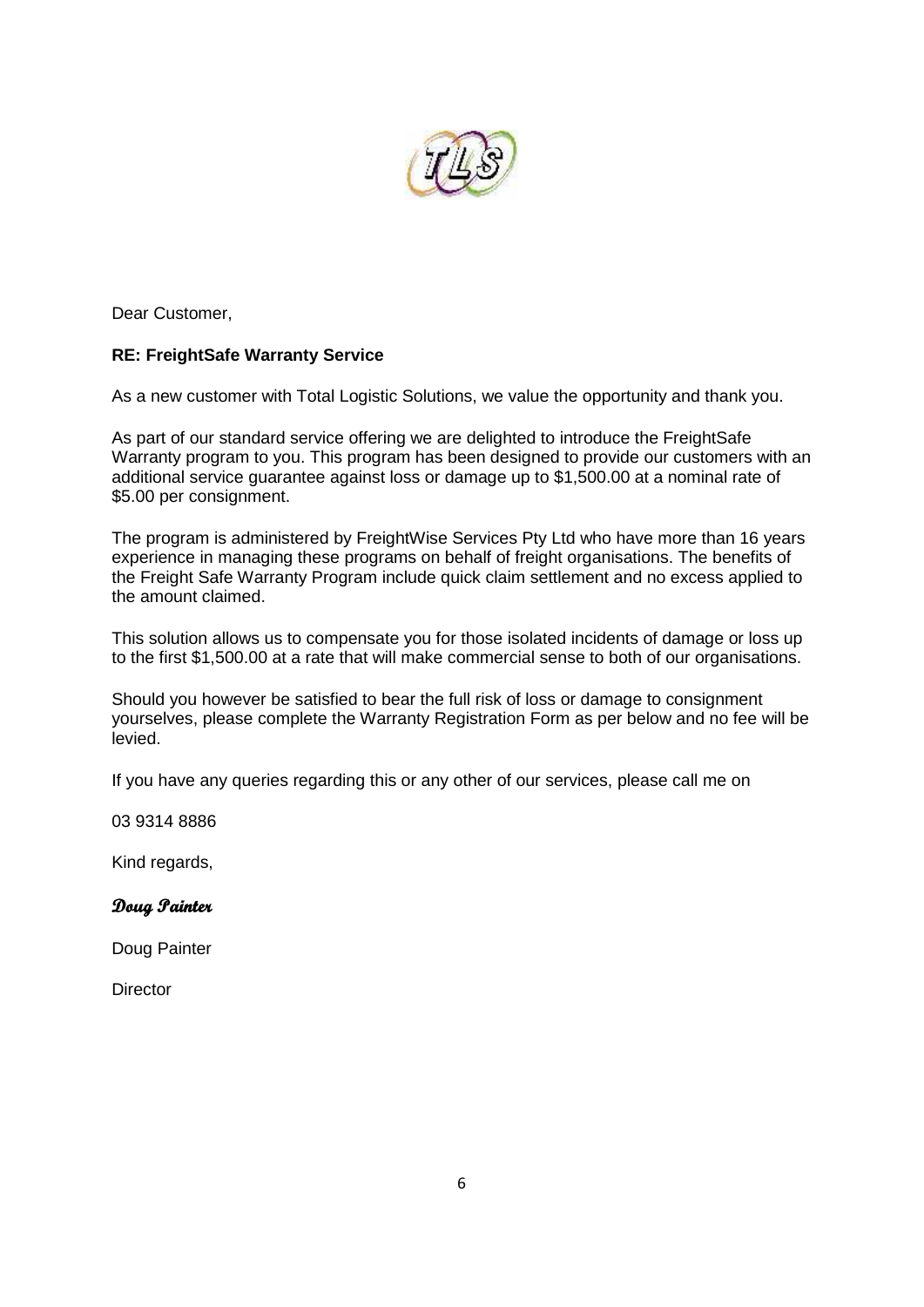

Dear Customer,

## **RE: FreightSafe Warranty Service**

As a new customer with Total Logistic Solutions, we value the opportunity and thank you.

As part of our standard service offering we are delighted to introduce the FreightSafe Warranty program to you. This program has been designed to provide our customers with an additional service guarantee against loss or damage up to \$1,500.00 at a nominal rate of \$5.00 per consignment.

The program is administered by FreightWise Services Pty Ltd who have more than 16 years experience in managing these programs on behalf of freight organisations. The benefits of the Freight Safe Warranty Program include quick claim settlement and no excess applied to the amount claimed.

This solution allows us to compensate you for those isolated incidents of damage or loss up to the first \$1,500.00 at a rate that will make commercial sense to both of our organisations.

Should you however be satisfied to bear the full risk of loss or damage to consignment yourselves, please complete the Warranty Registration Form as per below and no fee will be levied.

If you have any queries regarding this or any other of our services, please call me on

03 9314 8886

Kind regards,

## **Doug Painter**

Doug Painter

**Director**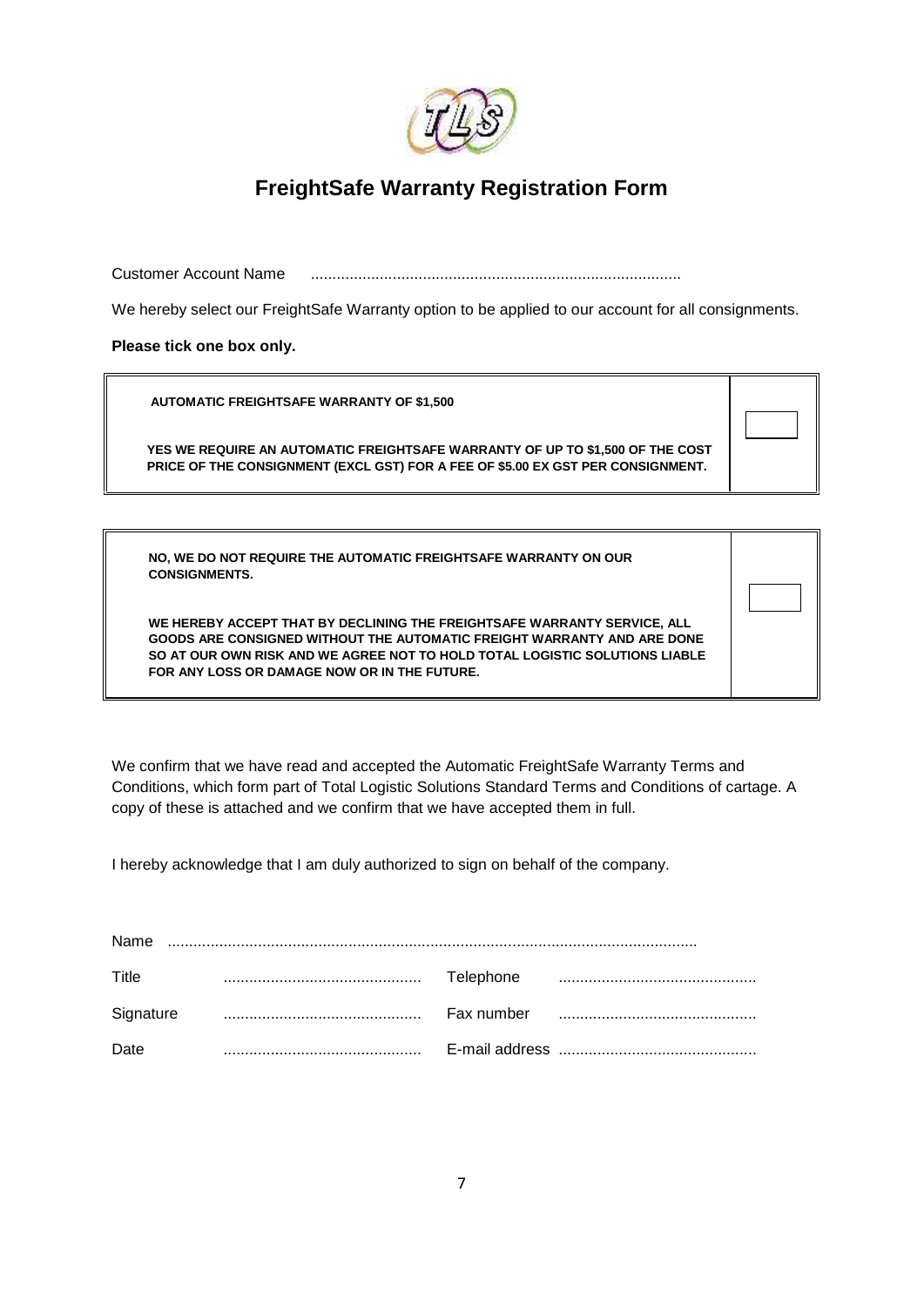

## **FreightSafe Warranty Registration Form**

Customer Account Name ......................................................................................

We hereby select our FreightSafe Warranty option to be applied to our account for all consignments.

**Please tick one box only.**

**AUTOMATIC FREIGHTSAFE WARRANTY OF \$1,500**

**YES WE REQUIRE AN AUTOMATIC FREIGHTSAFE WARRANTY OF UP TO \$1,500 OF THE COST PRICE OF THE CONSIGNMENT (EXCL GST) FOR A FEE OF \$5.00 EX GST PER CONSIGNMENT.**

**NO, WE DO NOT REQUIRE THE AUTOMATIC FREIGHTSAFE WARRANTY ON OUR CONSIGNMENTS.**

**WE HEREBY ACCEPT THAT BY DECLINING THE FREIGHTSAFE WARRANTY SERVICE, ALL GOODS ARE CONSIGNED WITHOUT THE AUTOMATIC FREIGHT WARRANTY AND ARE DONE SO AT OUR OWN RISK AND WE AGREE NOT TO HOLD TOTAL LOGISTIC SOLUTIONS LIABLE FOR ANY LOSS OR DAMAGE NOW OR IN THE FUTURE.**

We confirm that we have read and accepted the Automatic FreightSafe Warranty Terms and Conditions, which form part of Total Logistic Solutions Standard Terms and Conditions of cartage. A copy of these is attached and we confirm that we have accepted them in full.

I hereby acknowledge that I am duly authorized to sign on behalf of the company.

| Name      |  |           |  |  |  |
|-----------|--|-----------|--|--|--|
| Title     |  | Telephone |  |  |  |
| Signature |  |           |  |  |  |
| Date      |  |           |  |  |  |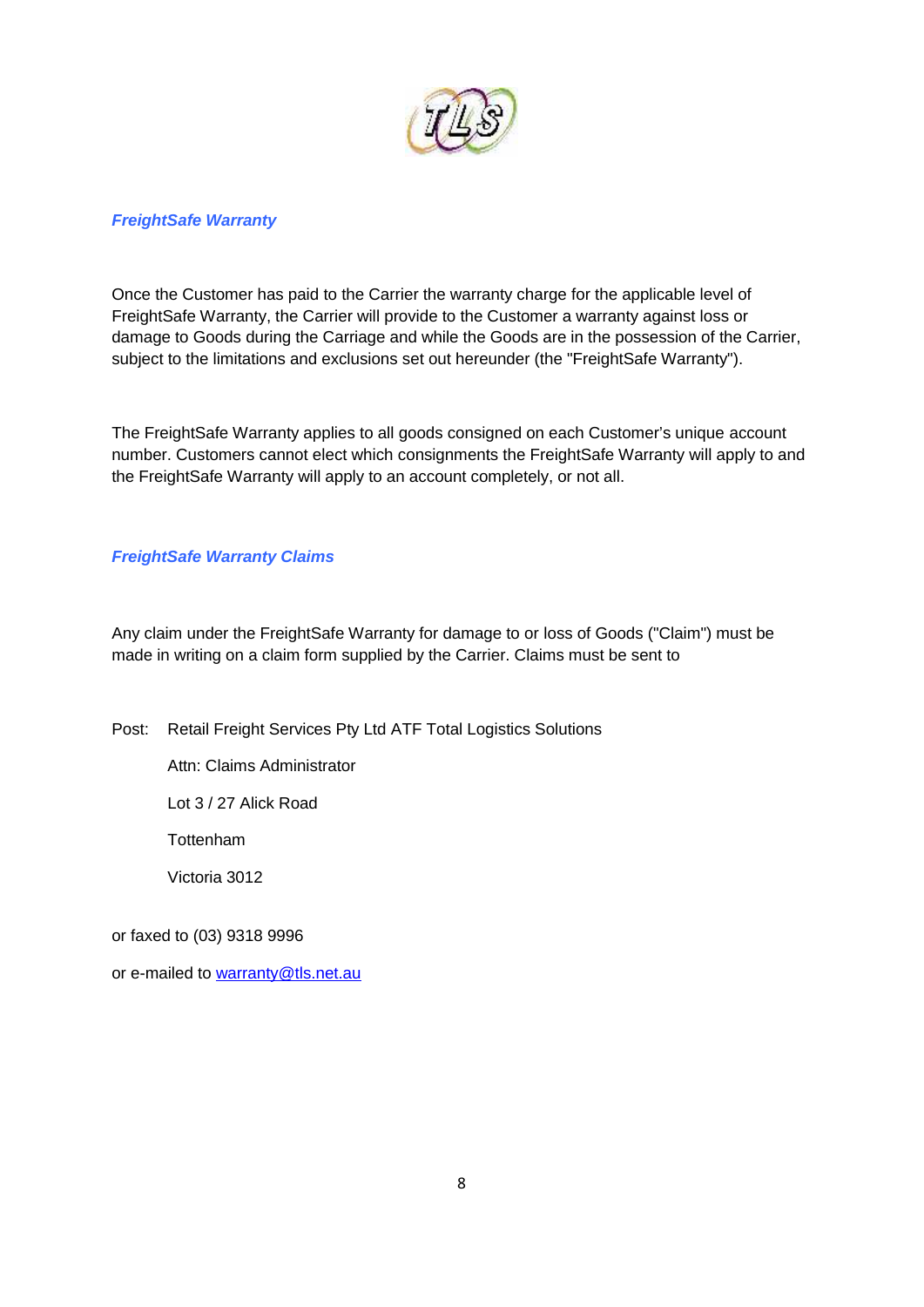

### *FreightSafe Warranty*

Once the Customer has paid to the Carrier the warranty charge for the applicable level of FreightSafe Warranty, the Carrier will provide to the Customer a warranty against loss or damage to Goods during the Carriage and while the Goods are in the possession of the Carrier, subject to the limitations and exclusions set out hereunder (the "FreightSafe Warranty").

The FreightSafe Warranty applies to all goods consigned on each Customer's unique account number. Customers cannot elect which consignments the FreightSafe Warranty will apply to and the FreightSafe Warranty will apply to an account completely, or not all.

### *FreightSafe Warranty Claims*

Any claim under the FreightSafe Warranty for damage to or loss of Goods ("Claim") must be made in writing on a claim form supplied by the Carrier. Claims must be sent to

Post: Retail Freight Services Pty Ltd ATF Total Logistics Solutions

Attn: Claims Administrator

Lot 3 / 27 Alick Road

**Tottenham** 

Victoria 3012

or faxed to (03) 9318 9996

or e-mailed to warranty@tls.net.au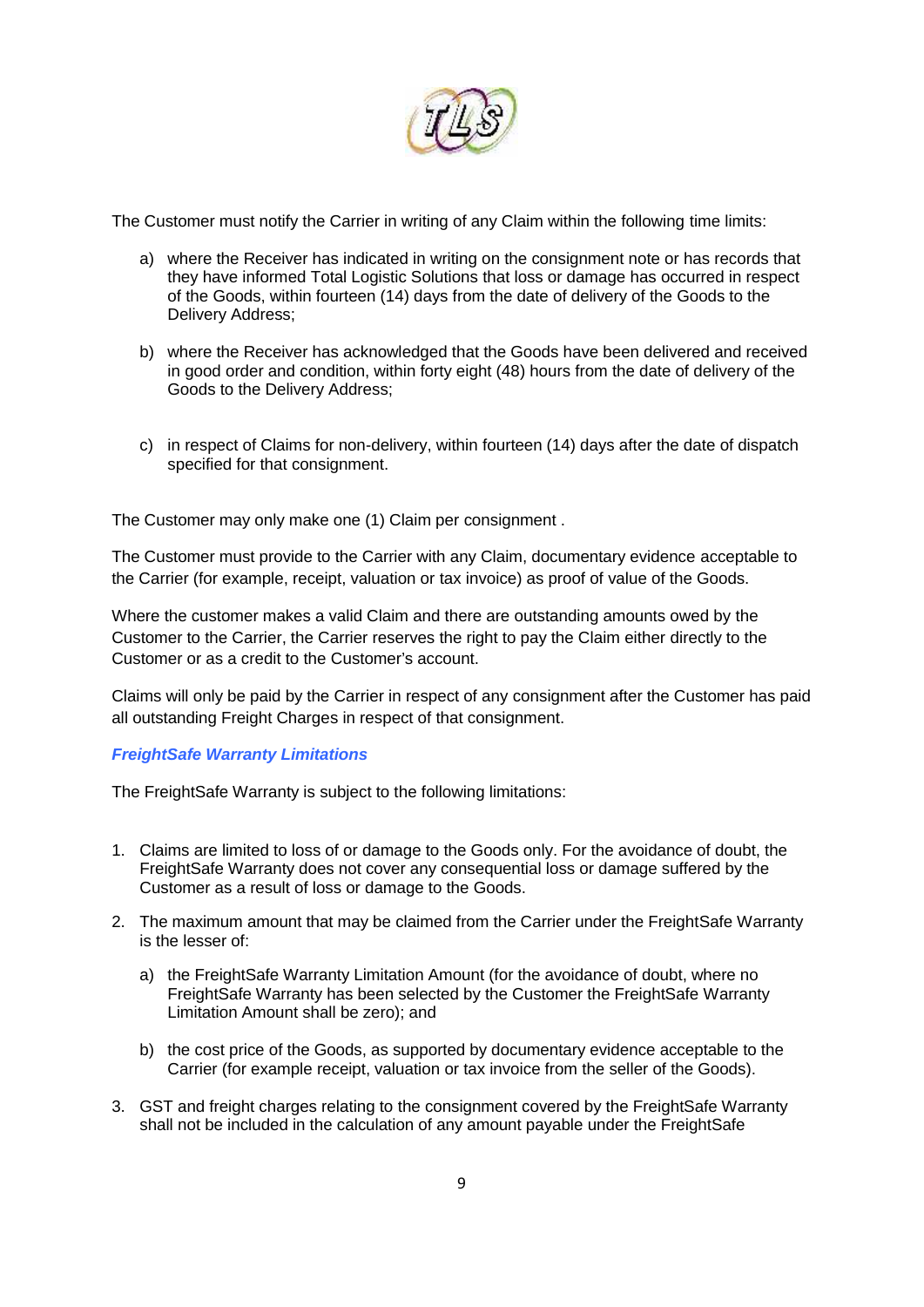

The Customer must notify the Carrier in writing of any Claim within the following time limits:

- a) where the Receiver has indicated in writing on the consignment note or has records that they have informed Total Logistic Solutions that loss or damage has occurred in respect of the Goods, within fourteen (14) days from the date of delivery of the Goods to the Delivery Address;
- b) where the Receiver has acknowledged that the Goods have been delivered and received in good order and condition, within forty eight (48) hours from the date of delivery of the Goods to the Delivery Address;
- c) in respect of Claims for non-delivery, within fourteen (14) days after the date of dispatch specified for that consignment.

The Customer may only make one (1) Claim per consignment .

The Customer must provide to the Carrier with any Claim, documentary evidence acceptable to the Carrier (for example, receipt, valuation or tax invoice) as proof of value of the Goods.

Where the customer makes a valid Claim and there are outstanding amounts owed by the Customer to the Carrier, the Carrier reserves the right to pay the Claim either directly to the Customer or as a credit to the Customer's account.

Claims will only be paid by the Carrier in respect of any consignment after the Customer has paid all outstanding Freight Charges in respect of that consignment.

## *FreightSafe Warranty Limitations*

The FreightSafe Warranty is subject to the following limitations:

- 1. Claims are limited to loss of or damage to the Goods only. For the avoidance of doubt, the FreightSafe Warranty does not cover any consequential loss or damage suffered by the Customer as a result of loss or damage to the Goods.
- 2. The maximum amount that may be claimed from the Carrier under the FreightSafe Warranty is the lesser of:
	- a) the FreightSafe Warranty Limitation Amount (for the avoidance of doubt, where no FreightSafe Warranty has been selected by the Customer the FreightSafe Warranty Limitation Amount shall be zero); and
	- b) the cost price of the Goods, as supported by documentary evidence acceptable to the Carrier (for example receipt, valuation or tax invoice from the seller of the Goods).
- 3. GST and freight charges relating to the consignment covered by the FreightSafe Warranty shall not be included in the calculation of any amount payable under the FreightSafe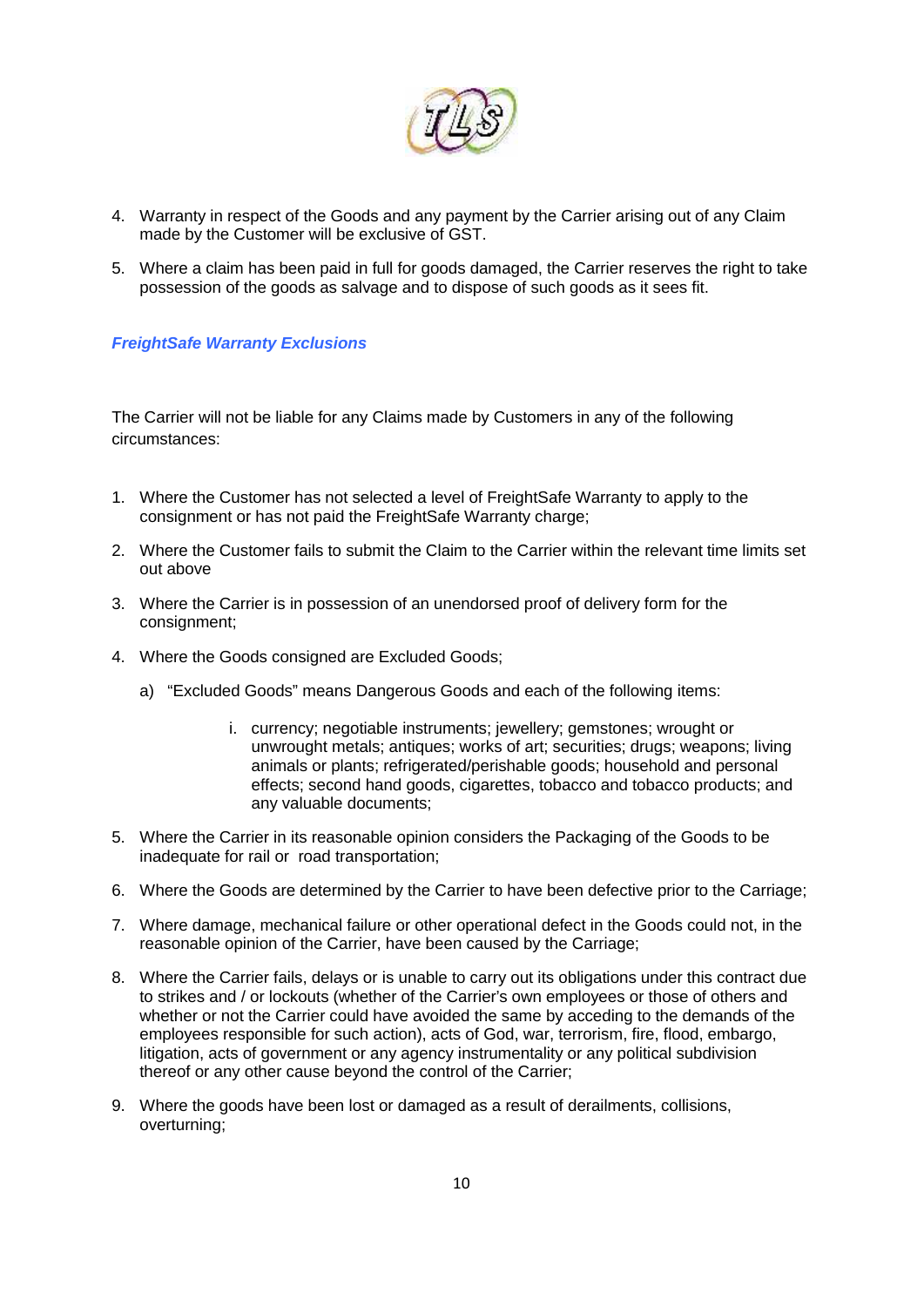

- 4. Warranty in respect of the Goods and any payment by the Carrier arising out of any Claim made by the Customer will be exclusive of GST.
- 5. Where a claim has been paid in full for goods damaged, the Carrier reserves the right to take possession of the goods as salvage and to dispose of such goods as it sees fit.

## *FreightSafe Warranty Exclusions*

The Carrier will not be liable for any Claims made by Customers in any of the following circumstances:

- 1. Where the Customer has not selected a level of FreightSafe Warranty to apply to the consignment or has not paid the FreightSafe Warranty charge;
- 2. Where the Customer fails to submit the Claim to the Carrier within the relevant time limits set out above
- 3. Where the Carrier is in possession of an unendorsed proof of delivery form for the consignment;
- 4. Where the Goods consigned are Excluded Goods;
	- a) "Excluded Goods" means Dangerous Goods and each of the following items:
		- i. currency; negotiable instruments; jewellery; gemstones; wrought or unwrought metals; antiques; works of art; securities; drugs; weapons; living animals or plants; refrigerated/perishable goods; household and personal effects; second hand goods, cigarettes, tobacco and tobacco products; and any valuable documents;
- 5. Where the Carrier in its reasonable opinion considers the Packaging of the Goods to be inadequate for rail or road transportation;
- 6. Where the Goods are determined by the Carrier to have been defective prior to the Carriage;
- 7. Where damage, mechanical failure or other operational defect in the Goods could not, in the reasonable opinion of the Carrier, have been caused by the Carriage;
- 8. Where the Carrier fails, delays or is unable to carry out its obligations under this contract due to strikes and / or lockouts (whether of the Carrier's own employees or those of others and whether or not the Carrier could have avoided the same by acceding to the demands of the employees responsible for such action), acts of God, war, terrorism, fire, flood, embargo, litigation, acts of government or any agency instrumentality or any political subdivision thereof or any other cause beyond the control of the Carrier;
- 9. Where the goods have been lost or damaged as a result of derailments, collisions, overturning;